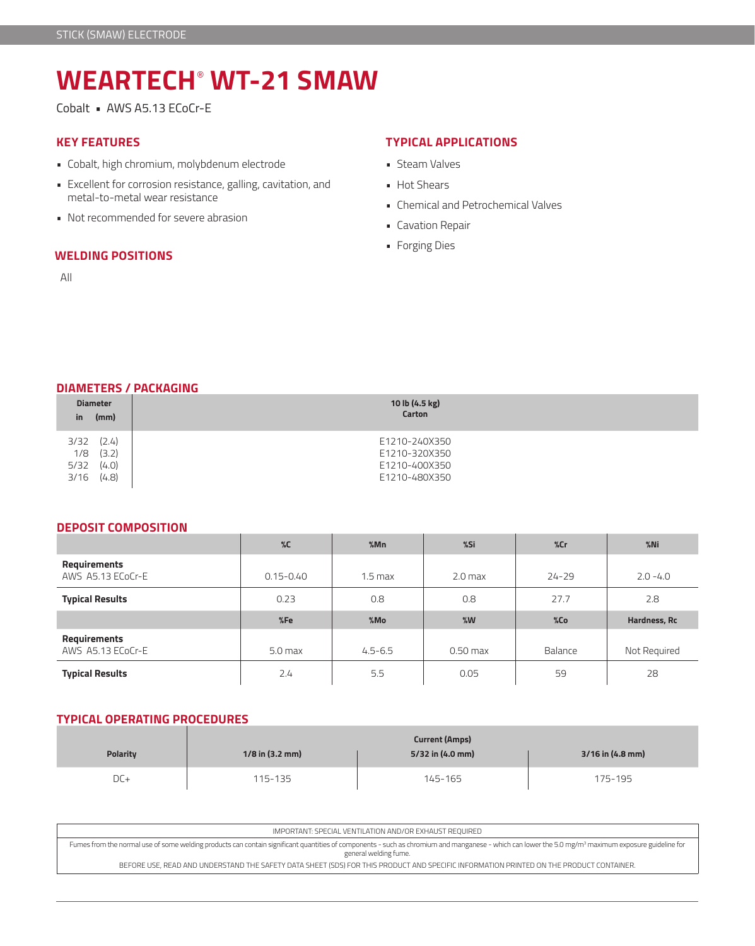# **WEARTECH**®  **WT-21 SMAW**

Cobalt • AWS A5.13 ECoCr-E

# **KEY FEATURES**

- Cobalt, high chromium, molybdenum electrode
- Excellent for corrosion resistance, galling, cavitation, and metal-to-metal wear resistance
- Not recommended for severe abrasion

#### **WELDING POSITIONS**

All

## **TYPICAL APPLICATIONS**

- Steam Valves
- Hot Shears
- Chemical and Petrochemical Valves
- Cavation Repair
- Forging Dies

## **DIAMETERS / PACKAGING**

| in.                 | <b>Diameter</b><br>(mm) | 10 lb (4.5 kg)<br>Carton                        |  |  |  |  |
|---------------------|-------------------------|-------------------------------------------------|--|--|--|--|
| 3/32<br>1/8<br>5/32 | (2.4)<br>(3.2)<br>(4.0) | E1210-240X350<br>E1210-320X350<br>E1210-400X350 |  |  |  |  |
| 3/16                | (4.8)                   | E1210-480X350                                   |  |  |  |  |

#### **DEPOSIT COMPOSITION**

|                                   | $\%C$         | %Mn                | %Si        | %cr       | $%$ Ni       |
|-----------------------------------|---------------|--------------------|------------|-----------|--------------|
| Requirements<br>AWS A5.13 ECoCr-E | $0.15 - 0.40$ | 1.5 <sub>max</sub> | $2.0$ max  | $24 - 29$ | $2.0 - 4.0$  |
| <b>Typical Results</b>            | 0.23          | 0.8                | 0.8        | 27.7      | 2.8          |
|                                   |               |                    |            |           |              |
|                                   | %Fe           | %Mo                | %W         | %Co       | Hardness, Rc |
| Requirements<br>AWS A5.13 ECoCr-E | $5.0$ max     | $4.5 - 6.5$        | $0.50$ max | Balance   | Not Required |

## **TYPICAL OPERATING PROCEDURES**

| <b>Polarity</b> | $1/8$ in (3.2 mm) | 3/16 in (4.8 mm) |         |
|-----------------|-------------------|------------------|---------|
| DC+             | 115-135           | 145-165          | 175-195 |

| IMPORTANT: SPECIAL VENTILATION AND/OR EXHAUST REOUIRED                                                                                                                                                                                   |
|------------------------------------------------------------------------------------------------------------------------------------------------------------------------------------------------------------------------------------------|
| Fumes from the normal use of some welding products can contain significant quantities of components - such as chromium and manganese - which can lower the 5.0 mg/m <sup>3</sup> maximum exposure guideline for<br>general welding fume. |
| BEFORE USE, READ AND UNDERSTAND THE SAFETY DATA SHEET (SDS) FOR THIS PRODUCT AND SPECIFIC INFORMATION PRINTED ON THE PRODUCT CONTAINER.                                                                                                  |